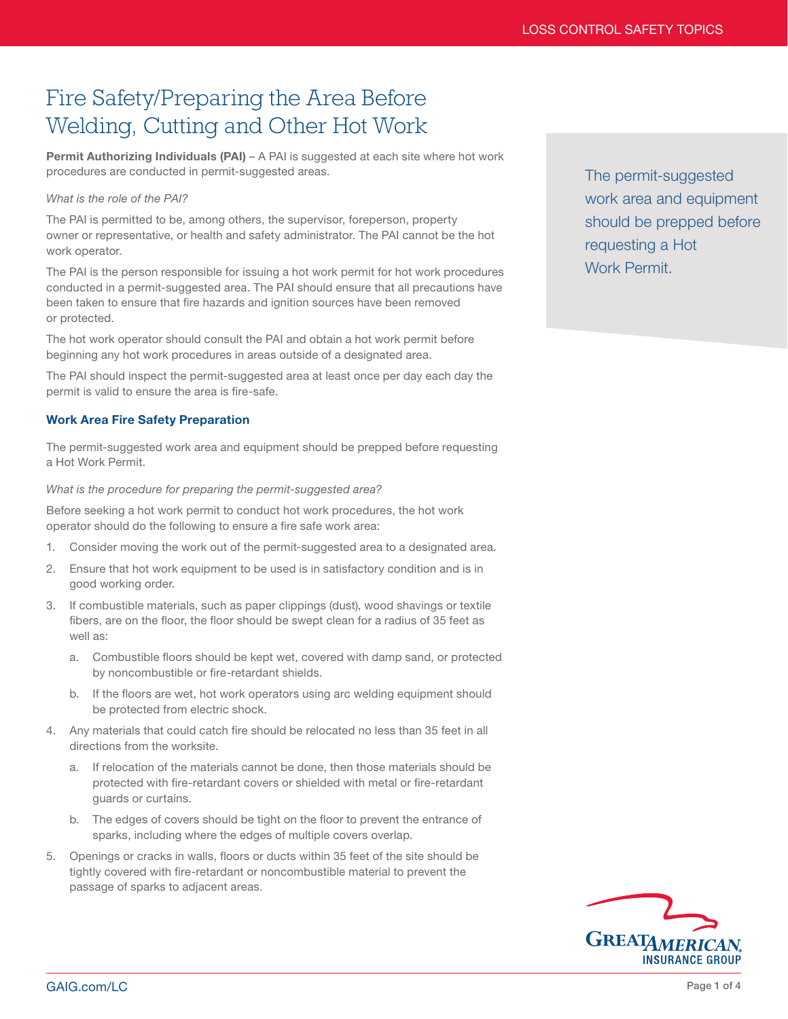# Fire Safety/Preparing the Area Before Welding, Cutting and Other Hot Work

Permit Authorizing Individuals (PAI) - A PAI is suggested at each site where hot work procedures are conducted in permit-suggested areas.

## *What is the role of the PAI?*

The PAI is permitted to be, among others, the supervisor, foreperson, property owner or representative, or health and safety administrator. The PAI cannot be the hot work operator.

The PAI is the person responsible for issuing a hot work permit for hot work procedures conducted in a permit-suggested area. The PAI should ensure that all precautions have been taken to ensure that fire hazards and ignition sources have been removed or protected.

The hot work operator should consult the PAI and obtain a hot work permit before beginning any hot work procedures in areas outside of a designated area.

The PAI should inspect the permit-suggested area at least once per day each day the permit is valid to ensure the area is fire-safe.

# Work Area Fire Safety Preparation

The permit-suggested work area and equipment should be prepped before requesting a Hot Work Permit.

## *What is the procedure for preparing the permit-suggested area?*

Before seeking a hot work permit to conduct hot work procedures, the hot work operator should do the following to ensure a fire safe work area:

- 1. Consider moving the work out of the permit-suggested area to a designated area.
- 2. Ensure that hot work equipment to be used is in satisfactory condition and is in good working order.
- 3. If combustible materials, such as paper clippings (dust), wood shavings or textile fibers, are on the floor, the floor should be swept clean for a radius of 35 feet as well as:
	- a. Combustible floors should be kept wet, covered with damp sand, or protected by noncombustible or fire-retardant shields.
	- b. If the floors are wet, hot work operators using arc welding equipment should be protected from electric shock.
- 4. Any materials that could catch fire should be relocated no less than 35 feet in all directions from the worksite.
	- a. If relocation of the materials cannot be done, then those materials should be protected with fire-retardant covers or shielded with metal or fire-retardant guards or curtains.
	- b. The edges of covers should be tight on the floor to prevent the entrance of sparks, including where the edges of multiple covers overlap.
- 5. Openings or cracks in walls, floors or ducts within 35 feet of the site should be tightly covered with fire-retardant or noncombustible material to prevent the passage of sparks to adjacent areas.



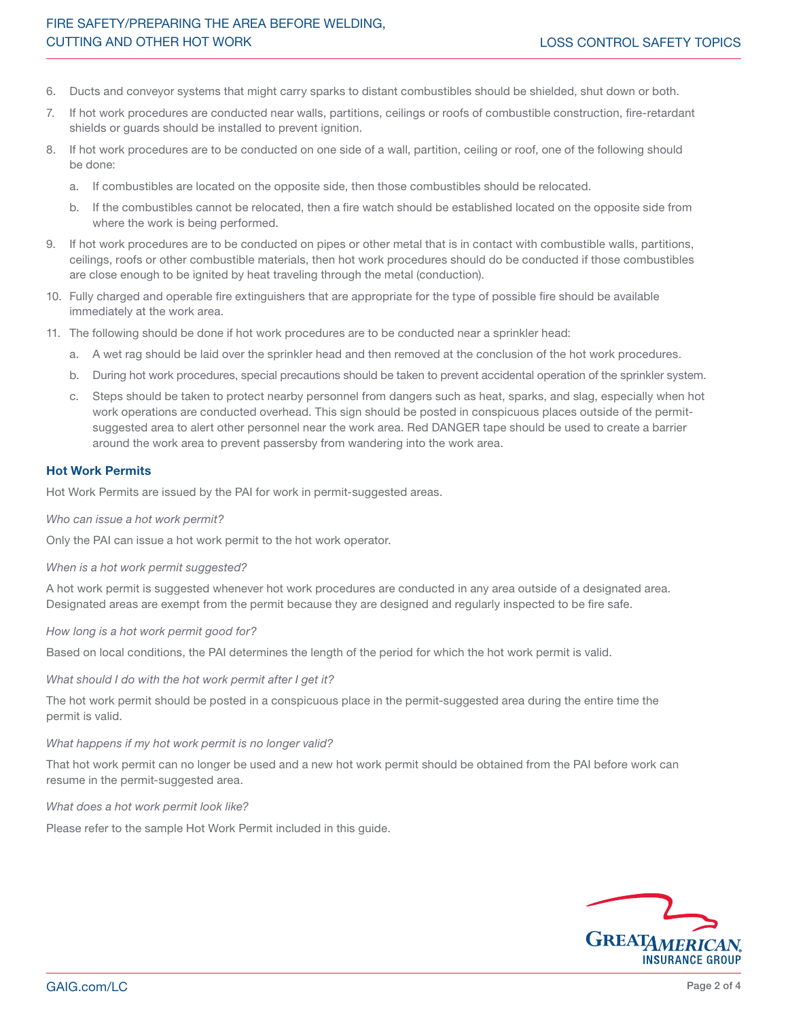- 6. Ducts and conveyor systems that might carry sparks to distant combustibles should be shielded, shut down or both.
- 7. If hot work procedures are conducted near walls, partitions, ceilings or roofs of combustible construction, fire-retardant shields or guards should be installed to prevent ignition.
- 8. If hot work procedures are to be conducted on one side of a wall, partition, ceiling or roof, one of the following should be done:
	- a. If combustibles are located on the opposite side, then those combustibles should be relocated.
	- If the combustibles cannot be relocated, then a fire watch should be established located on the opposite side from where the work is being performed.
- 9. If hot work procedures are to be conducted on pipes or other metal that is in contact with combustible walls, partitions, ceilings, roofs or other combustible materials, then hot work procedures should do be conducted if those combustibles are close enough to be ignited by heat traveling through the metal (conduction).
- 10. Fully charged and operable fire extinguishers that are appropriate for the type of possible fire should be available immediately at the work area.
- 11. The following should be done if hot work procedures are to be conducted near a sprinkler head:
	- a. A wet rag should be laid over the sprinkler head and then removed at the conclusion of the hot work procedures.
	- b. During hot work procedures, special precautions should be taken to prevent accidental operation of the sprinkler system.
	- c. Steps should be taken to protect nearby personnel from dangers such as heat, sparks, and slag, especially when hot work operations are conducted overhead. This sign should be posted in conspicuous places outside of the permitsuggested area to alert other personnel near the work area. Red DANGER tape should be used to create a barrier around the work area to prevent passersby from wandering into the work area.

## Hot Work Permits

[Hot Work Permits a](https://www.greatamericaninsurancegroup.com/docs/default-source/loss-prevention/Sample-Hot-Work-Permit)re issued by the PAI for work in permit-suggested areas.

*Who can issue a hot work permit?*

Only the PAI can issue a hot work permit to the hot work operator.

*When is a hot work permit suggested?*

A hot work permit is suggested whenever hot work procedures are conducted in any area outside of a designated area. Designated areas are exempt from the permit because they are designed and regularly inspected to be fire safe.

## *How long is a hot work permit good for?*

Based on local conditions, the PAI determines the length of the period for which the hot work permit is valid.

*What should I do with the hot work permit after I get it?*

The hot work permit should be posted in a conspicuous place in the permit-suggested area during the entire time the permit is valid.

#### *What happens if my hot work permit is no longer valid?*

That hot work permit can no longer be used and a new hot work permit should be obtained from the PAI before work can resume in the permit-suggested area.

## *What does a hot work permit look like?*

Please refer to the sample Hot Work Permit included in this guide.

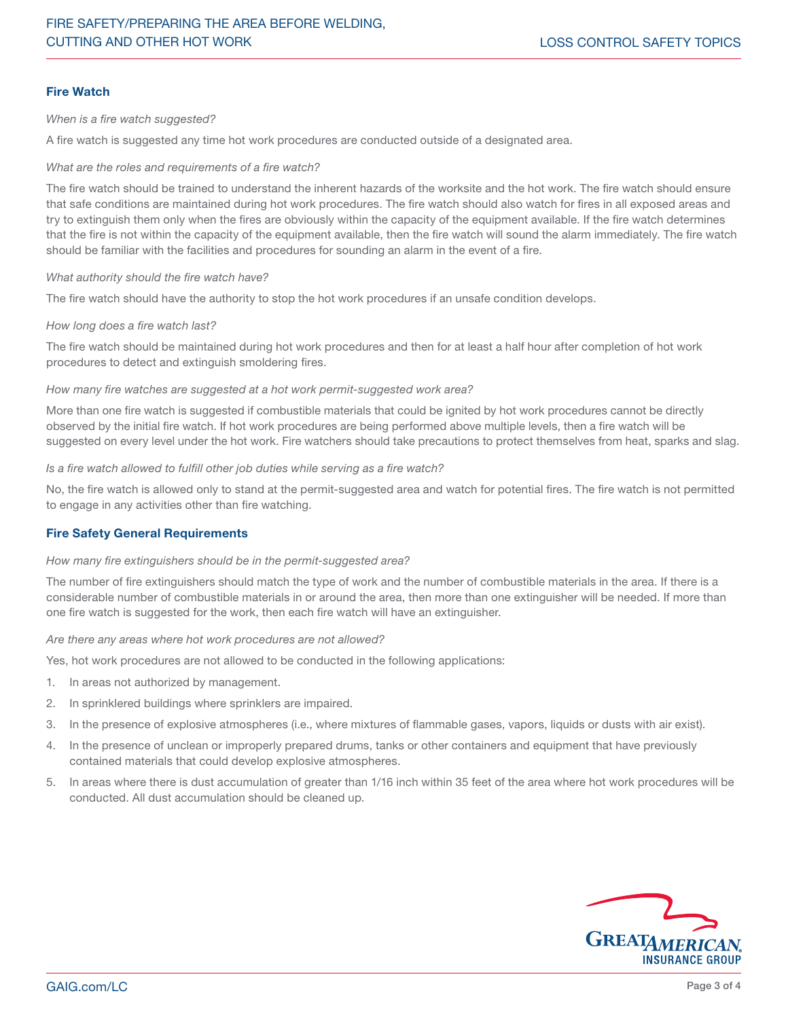# Fire Watch

*When is a fire watch suggested?*

A fire watch is suggested any time hot work procedures are conducted outside of a designated area.

*What are the roles and requirements of a fire watch?*

The fire watch should be trained to understand the inherent hazards of the worksite and the hot work. The fire watch should ensure that safe conditions are maintained during hot work procedures. The fire watch should also watch for fires in all exposed areas and try to extinguish them only when the fires are obviously within the capacity of the equipment available. If the fire watch determines that the fire is not within the capacity of the equipment available, then the fire watch will sound the alarm immediately. The fire watch should be familiar with the facilities and procedures for sounding an alarm in the event of a fire.

*What authority should the fire watch have?*

The fire watch should have the authority to stop the hot work procedures if an unsafe condition develops.

## *How long does a fire watch last?*

The fire watch should be maintained during hot work procedures and then for at least a half hour after completion of hot work procedures to detect and extinguish smoldering fires.

## *How many fire watches are suggested at a hot work permit-suggested work area?*

More than one fire watch is suggested if combustible materials that could be ignited by hot work procedures cannot be directly observed by the initial fire watch. If hot work procedures are being performed above multiple levels, then a fire watch will be suggested on every level under the hot work. Fire watchers should take precautions to protect themselves from heat, sparks and slag.

*Is a fire watch allowed to fulfill other job duties while serving as a fire watch?*

No, the fire watch is allowed only to stand at the permit-suggested area and watch for potential fires. The fire watch is not permitted to engage in any activities other than fire watching.

# Fire Safety General Requirements

#### *How many fire extinguishers should be in the permit-suggested area?*

The number of fire extinguishers should match the type of work and the number of combustible materials in the area. If there is a considerable number of combustible materials in or around the area, then more than one extinguisher will be needed. If more than one fire watch is suggested for the work, then each fire watch will have an extinguisher.

*Are there any areas where hot work procedures are not allowed?*

Yes, hot work procedures are not allowed to be conducted in the following applications:

- 1. In areas not authorized by management.
- 2. In sprinklered buildings where sprinklers are impaired.
- 3. In the presence of explosive atmospheres (i.e., where mixtures of flammable gases, vapors, liquids or dusts with air exist).
- 4. In the presence of unclean or improperly prepared drums, tanks or other containers and equipment that have previously contained materials that could develop explosive atmospheres.
- 5. In areas where there is dust accumulation of greater than 1/16 inch within 35 feet of the area where hot work procedures will be conducted. All dust accumulation should be cleaned up.